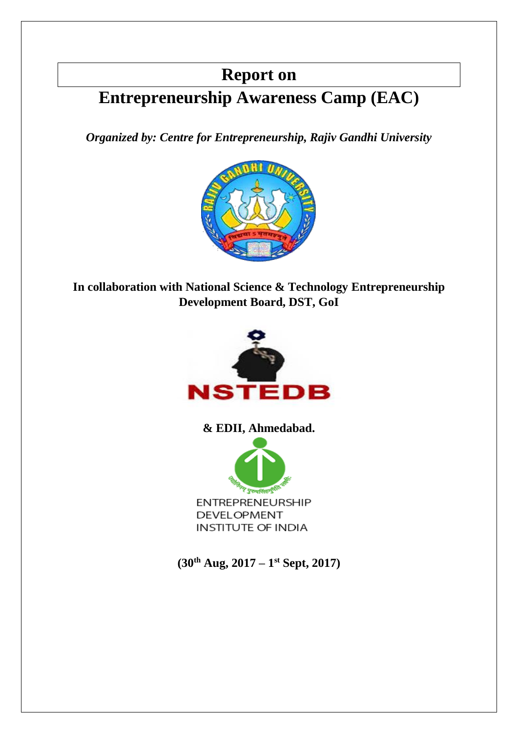# **Report on**

# **Entrepreneurship Awareness Camp (EAC)**

*Organized by: Centre for Entrepreneurship, Rajiv Gandhi University*



**In collaboration with National Science & Technology Entrepreneurship Development Board, DST, GoI** 



**& EDII, Ahmedabad.**



**(30th Aug, 2017 – 1 st Sept, 2017)**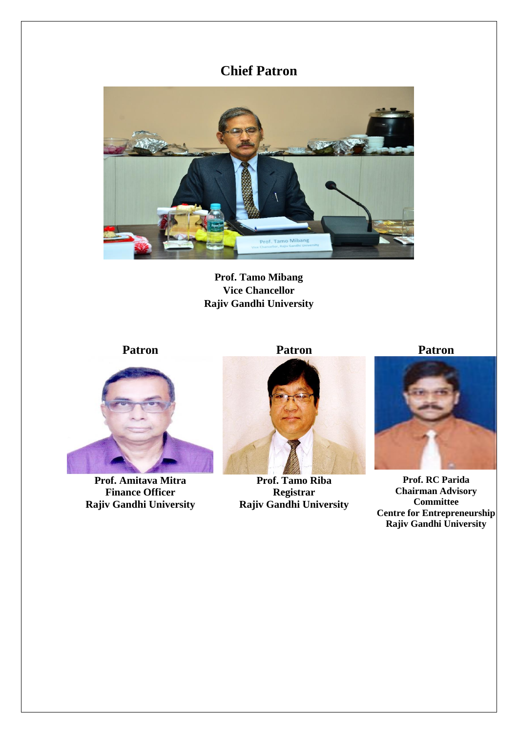# **Chief Patron**



**Prof. Tamo Mibang Vice Chancellor Rajiv Gandhi University**



**Prof. Amitava Mitra Finance Officer Rajiv Gandhi University**



**Prof. Tamo Riba Registrar Rajiv Gandhi University**

**Patron Patron Patron**



**Prof. RC Parida Chairman Advisory Committee Centre for Entrepreneurship Rajiv Gandhi University**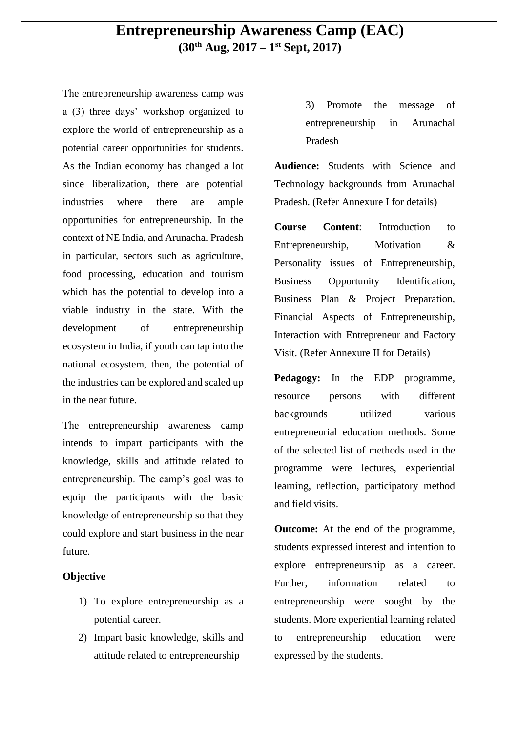## **Entrepreneurship Awareness Camp (EAC) (30th Aug, 2017 – 1 st Sept, 2017)**

The entrepreneurship awareness camp was a (3) three days' workshop organized to explore the world of entrepreneurship as a potential career opportunities for students. As the Indian economy has changed a lot since liberalization, there are potential industries where there are ample opportunities for entrepreneurship. In the context of NE India, and Arunachal Pradesh in particular, sectors such as agriculture, food processing, education and tourism which has the potential to develop into a viable industry in the state. With the development of entrepreneurship ecosystem in India, if youth can tap into the national ecosystem, then, the potential of the industries can be explored and scaled up in the near future.

The entrepreneurship awareness camp intends to impart participants with the knowledge, skills and attitude related to entrepreneurship. The camp's goal was to equip the participants with the basic knowledge of entrepreneurship so that they could explore and start business in the near future.

#### **Objective**

- 1) To explore entrepreneurship as a potential career.
- 2) Impart basic knowledge, skills and attitude related to entrepreneurship

3) Promote the message of entrepreneurship in Arunachal Pradesh

**Audience:** Students with Science and Technology backgrounds from Arunachal Pradesh. (Refer Annexure I for details)

**Course Content**: Introduction to Entrepreneurship, Motivation & Personality issues of Entrepreneurship, Business Opportunity Identification, Business Plan & Project Preparation, Financial Aspects of Entrepreneurship, Interaction with Entrepreneur and Factory Visit. (Refer Annexure II for Details)

Pedagogy: In the EDP programme. resource persons with different backgrounds utilized various entrepreneurial education methods. Some of the selected list of methods used in the programme were lectures, experiential learning, reflection, participatory method and field visits.

**Outcome:** At the end of the programme, students expressed interest and intention to explore entrepreneurship as a career. Further, information related to entrepreneurship were sought by the students. More experiential learning related to entrepreneurship education were expressed by the students.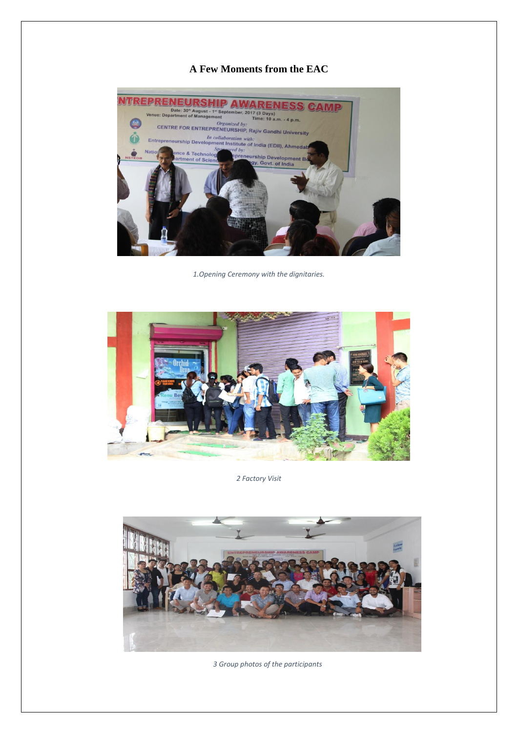#### **A Few Moments from the EAC**



*1.Opening Ceremony with the dignitaries.*



*2 Factory Visit*



 *3 Group photos of the participants*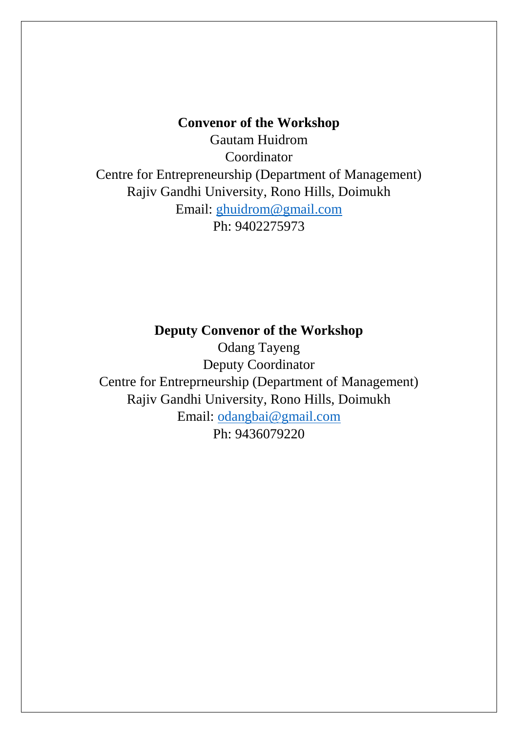### **Convenor of the Workshop**

Gautam Huidrom Coordinator Centre for Entrepreneurship (Department of Management) Rajiv Gandhi University, Rono Hills, Doimukh Email: [ghuidrom@gmail.com](mailto:ghuidrom@gmail.com) Ph: 9402275973

### **Deputy Convenor of the Workshop**

Odang Tayeng Deputy Coordinator Centre for Entreprneurship (Department of Management) Rajiv Gandhi University, Rono Hills, Doimukh Email: [odangbai@gmail.com](mailto:odangbai@gmail.com) Ph: 9436079220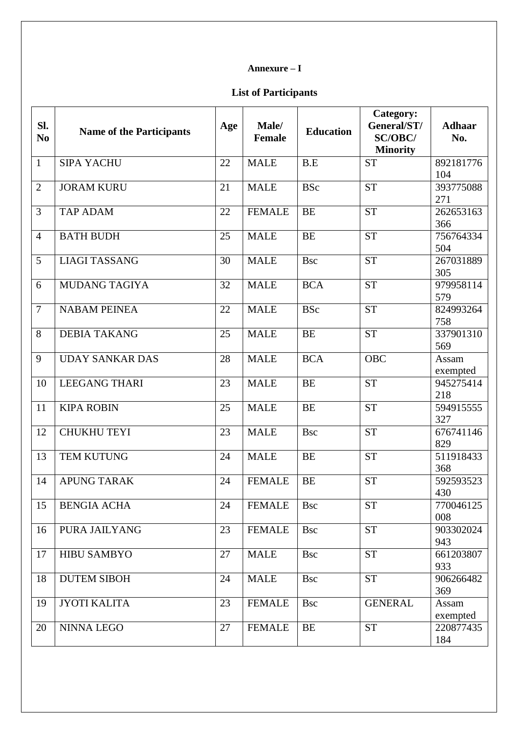#### **Annexure – I**

### **List of Participants**

| Sl.<br>N <sub>0</sub> | <b>Name of the Participants</b> | Age | Male/<br><b>Female</b> | <b>Education</b> | Category:<br>General/ST/<br><b>SC/OBC/</b><br><b>Minority</b> | <b>Adhaar</b><br>No. |
|-----------------------|---------------------------------|-----|------------------------|------------------|---------------------------------------------------------------|----------------------|
| $\mathbf{1}$          | <b>SIPA YACHU</b>               | 22  | <b>MALE</b>            | B.E              | <b>ST</b>                                                     | 892181776<br>104     |
| $\overline{2}$        | <b>JORAM KURU</b>               | 21  | <b>MALE</b>            | <b>BSc</b>       | <b>ST</b>                                                     | 393775088<br>271     |
| 3                     | <b>TAP ADAM</b>                 | 22  | <b>FEMALE</b>          | <b>BE</b>        | <b>ST</b>                                                     | 262653163<br>366     |
| $\overline{4}$        | <b>BATH BUDH</b>                | 25  | <b>MALE</b>            | <b>BE</b>        | <b>ST</b>                                                     | 756764334<br>504     |
| 5                     | <b>LIAGI TASSANG</b>            | 30  | <b>MALE</b>            | <b>Bsc</b>       | <b>ST</b>                                                     | 267031889<br>305     |
| 6                     | <b>MUDANG TAGIYA</b>            | 32  | <b>MALE</b>            | <b>BCA</b>       | <b>ST</b>                                                     | 979958114<br>579     |
| $\overline{7}$        | <b>NABAM PEINEA</b>             | 22  | <b>MALE</b>            | <b>BSc</b>       | <b>ST</b>                                                     | 824993264<br>758     |
| 8                     | <b>DEBIA TAKANG</b>             | 25  | <b>MALE</b>            | <b>BE</b>        | $\overline{\text{ST}}$                                        | 337901310<br>569     |
| 9                     | <b>UDAY SANKAR DAS</b>          | 28  | <b>MALE</b>            | <b>BCA</b>       | <b>OBC</b>                                                    | Assam<br>exempted    |
| 10                    | <b>LEEGANG THARI</b>            | 23  | <b>MALE</b>            | <b>BE</b>        | <b>ST</b>                                                     | 945275414<br>218     |
| 11                    | <b>KIPA ROBIN</b>               | 25  | <b>MALE</b>            | <b>BE</b>        | <b>ST</b>                                                     | 594915555<br>327     |
| 12                    | <b>CHUKHU TEYI</b>              | 23  | <b>MALE</b>            | <b>Bsc</b>       | <b>ST</b>                                                     | 676741146<br>829     |
| 13                    | TEM KUTUNG                      | 24  | <b>MALE</b>            | <b>BE</b>        | <b>ST</b>                                                     | 511918433<br>368     |
| 14                    | <b>APUNG TARAK</b>              | 24  | <b>FEMALE</b>          | <b>BE</b>        | <b>ST</b>                                                     | 592593523<br>430     |
| 15                    | <b>BENGIA ACHA</b>              | 24  | <b>FEMALE</b>          | <b>Bsc</b>       | <b>ST</b>                                                     | 770046125<br>008     |
| 16                    | PURA JAILYANG                   | 23  | <b>FEMALE</b>          | <b>Bsc</b>       | <b>ST</b>                                                     | 903302024<br>943     |
| 17                    | <b>HIBU SAMBYO</b>              | 27  | <b>MALE</b>            | <b>Bsc</b>       | <b>ST</b>                                                     | 661203807<br>933     |
| 18                    | <b>DUTEM SIBOH</b>              | 24  | <b>MALE</b>            | <b>Bsc</b>       | <b>ST</b>                                                     | 906266482<br>369     |
| 19                    | <b>JYOTI KALITA</b>             | 23  | <b>FEMALE</b>          | <b>Bsc</b>       | <b>GENERAL</b>                                                | Assam<br>exempted    |
| 20                    | NINNA LEGO                      | 27  | <b>FEMALE</b>          | <b>BE</b>        | <b>ST</b>                                                     | 220877435<br>184     |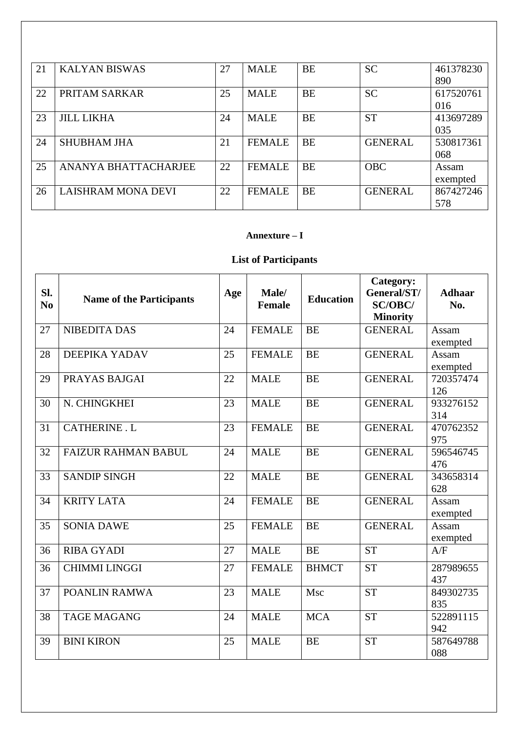| 21 | <b>KALYAN BISWAS</b>        | 27 | <b>MALE</b>   | <b>BE</b> | <b>SC</b>      | 461378230 |
|----|-----------------------------|----|---------------|-----------|----------------|-----------|
|    |                             |    |               |           |                | 890       |
| 22 | PRITAM SARKAR               | 25 | <b>MALE</b>   | <b>BE</b> | <b>SC</b>      | 617520761 |
|    |                             |    |               |           |                | 016       |
| 23 | <b>JILL LIKHA</b>           | 24 | <b>MALE</b>   | <b>BE</b> | <b>ST</b>      | 413697289 |
|    |                             |    |               |           |                | 035       |
| 24 | <b>SHUBHAM JHA</b>          | 21 | <b>FEMALE</b> | <b>BE</b> | <b>GENERAL</b> | 530817361 |
|    |                             |    |               |           |                | 068       |
| 25 | <b>ANANYA BHATTACHARJEE</b> | 22 | <b>FEMALE</b> | <b>BE</b> | <b>OBC</b>     | Assam     |
|    |                             |    |               |           |                | exempted  |
| 26 | <b>LAISHRAM MONA DEVI</b>   | 22 | <b>FEMALE</b> | <b>BE</b> | <b>GENERAL</b> | 867427246 |
|    |                             |    |               |           |                | 578       |

#### **Annexture – I**

### **List of Participants**

| SI.<br>N <sub>0</sub> | <b>Name of the Participants</b> | Age | Male/<br><b>Female</b> | <b>Education</b> | Category:<br>General/ST/<br><b>SC/OBC/</b><br><b>Minority</b> | <b>Adhaar</b><br>No. |
|-----------------------|---------------------------------|-----|------------------------|------------------|---------------------------------------------------------------|----------------------|
| 27                    | NIBEDITA DAS                    | 24  | <b>FEMALE</b>          | <b>BE</b>        | <b>GENERAL</b>                                                | Assam                |
|                       |                                 |     |                        |                  |                                                               | exempted             |
| 28                    | DEEPIKA YADAV                   | 25  | <b>FEMALE</b>          | <b>BE</b>        | <b>GENERAL</b>                                                | Assam<br>exempted    |
| 29                    | PRAYAS BAJGAI                   | 22  | <b>MALE</b>            | <b>BE</b>        | <b>GENERAL</b>                                                | 720357474<br>126     |
| 30                    | N. CHINGKHEI                    | 23  | <b>MALE</b>            | <b>BE</b>        | <b>GENERAL</b>                                                | 933276152<br>314     |
| 31                    | <b>CATHERINE . L</b>            | 23  | <b>FEMALE</b>          | <b>BE</b>        | <b>GENERAL</b>                                                | 470762352<br>975     |
| 32                    | <b>FAIZUR RAHMAN BABUL</b>      | 24  | <b>MALE</b>            | <b>BE</b>        | <b>GENERAL</b>                                                | 596546745<br>476     |
| 33                    | <b>SANDIP SINGH</b>             | 22  | <b>MALE</b>            | <b>BE</b>        | <b>GENERAL</b>                                                | 343658314<br>628     |
| 34                    | <b>KRITY LATA</b>               | 24  | <b>FEMALE</b>          | <b>BE</b>        | <b>GENERAL</b>                                                | Assam<br>exempted    |
| 35                    | <b>SONIA DAWE</b>               | 25  | <b>FEMALE</b>          | <b>BE</b>        | <b>GENERAL</b>                                                | Assam<br>exempted    |
| 36                    | <b>RIBA GYADI</b>               | 27  | <b>MALE</b>            | <b>BE</b>        | <b>ST</b>                                                     | A/F                  |
| 36                    | <b>CHIMMI LINGGI</b>            | 27  | <b>FEMALE</b>          | <b>BHMCT</b>     | <b>ST</b>                                                     | 287989655<br>437     |
| 37                    | POANLIN RAMWA                   | 23  | <b>MALE</b>            | Msc              | ST                                                            | 849302735<br>835     |
| 38                    | <b>TAGE MAGANG</b>              | 24  | <b>MALE</b>            | <b>MCA</b>       | <b>ST</b>                                                     | 522891115<br>942     |
| 39                    | <b>BINI KIRON</b>               | 25  | <b>MALE</b>            | <b>BE</b>        | <b>ST</b>                                                     | 587649788<br>088     |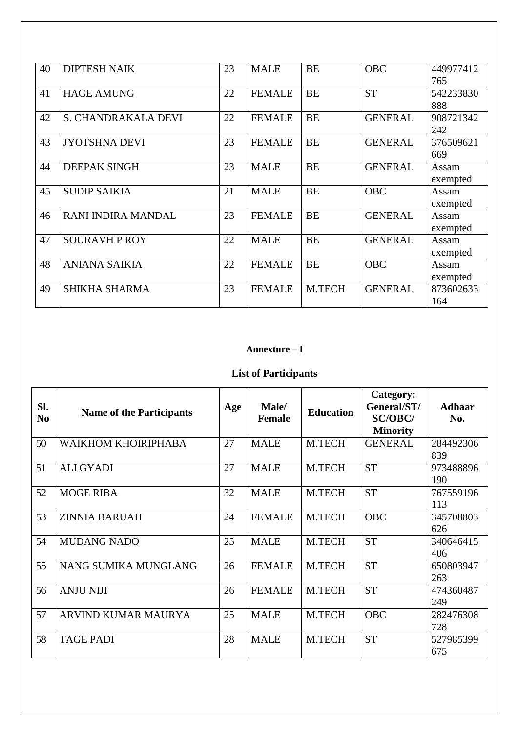| 40 | <b>DIPTESH NAIK</b>  | 23 | <b>MALE</b>   | <b>BE</b> | <b>OBC</b>     | 449977412 |
|----|----------------------|----|---------------|-----------|----------------|-----------|
|    |                      |    |               |           |                | 765       |
| 41 | <b>HAGE AMUNG</b>    | 22 | <b>FEMALE</b> | <b>BE</b> | <b>ST</b>      | 542233830 |
|    |                      |    |               |           |                | 888       |
| 42 | S. CHANDRAKALA DEVI  | 22 | <b>FEMALE</b> | <b>BE</b> | <b>GENERAL</b> | 908721342 |
|    |                      |    |               |           |                | 242       |
| 43 | <b>JYOTSHNA DEVI</b> | 23 | <b>FEMALE</b> | <b>BE</b> | <b>GENERAL</b> | 376509621 |
|    |                      |    |               |           |                | 669       |
| 44 | <b>DEEPAK SINGH</b>  | 23 | <b>MALE</b>   | <b>BE</b> | <b>GENERAL</b> | Assam     |
|    |                      |    |               |           |                | exempted  |
| 45 | <b>SUDIP SAIKIA</b>  | 21 | <b>MALE</b>   | <b>BE</b> | <b>OBC</b>     | Assam     |
|    |                      |    |               |           |                | exempted  |
| 46 | RANI INDIRA MANDAL   | 23 | <b>FEMALE</b> | <b>BE</b> | <b>GENERAL</b> | Assam     |
|    |                      |    |               |           |                | exempted  |
| 47 | <b>SOURAVH P ROY</b> | 22 | <b>MALE</b>   | <b>BE</b> | <b>GENERAL</b> | Assam     |
|    |                      |    |               |           |                | exempted  |
| 48 | <b>ANIANA SAIKIA</b> | 22 | <b>FEMALE</b> | <b>BE</b> | <b>OBC</b>     | Assam     |
|    |                      |    |               |           |                | exempted  |
| 49 | <b>SHIKHA SHARMA</b> | 23 | <b>FEMALE</b> | M.TECH    | <b>GENERAL</b> | 873602633 |
|    |                      |    |               |           |                | 164       |

### **Annexture – I**

# **List of Participants**

| Sl.<br>N <sub>0</sub> | <b>Name of the Participants</b> | Age | Male/<br><b>Female</b> | <b>Education</b> | Category:<br>General/ST/<br><b>SC/OBC/</b><br><b>Minority</b> | <b>Adhaar</b><br>No. |
|-----------------------|---------------------------------|-----|------------------------|------------------|---------------------------------------------------------------|----------------------|
| 50                    | WAIKHOM KHOIRIPHABA             | 27  | <b>MALE</b>            | M.TECH           | <b>GENERAL</b>                                                | 284492306<br>839     |
| 51                    | <b>ALI GYADI</b>                | 27  | <b>MALE</b>            | M.TECH           | <b>ST</b>                                                     | 973488896<br>190     |
| 52                    | <b>MOGE RIBA</b>                | 32  | <b>MALE</b>            | M.TECH           | <b>ST</b>                                                     | 767559196<br>113     |
| 53                    | <b>ZINNIA BARUAH</b>            | 24  | <b>FEMALE</b>          | M.TECH           | <b>OBC</b>                                                    | 345708803<br>626     |
| 54                    | <b>MUDANG NADO</b>              | 25  | <b>MALE</b>            | <b>M.TECH</b>    | <b>ST</b>                                                     | 340646415<br>406     |
| 55                    | NANG SUMIKA MUNGLANG            | 26  | <b>FEMALE</b>          | <b>M.TECH</b>    | <b>ST</b>                                                     | 650803947<br>263     |
| 56                    | <b>ANJU NIJI</b>                | 26  | <b>FEMALE</b>          | M.TECH           | <b>ST</b>                                                     | 474360487<br>249     |
| 57                    | ARVIND KUMAR MAURYA             | 25  | <b>MALE</b>            | M.TECH           | <b>OBC</b>                                                    | 282476308<br>728     |
| 58                    | <b>TAGE PADI</b>                | 28  | <b>MALE</b>            | M.TECH           | <b>ST</b>                                                     | 527985399<br>675     |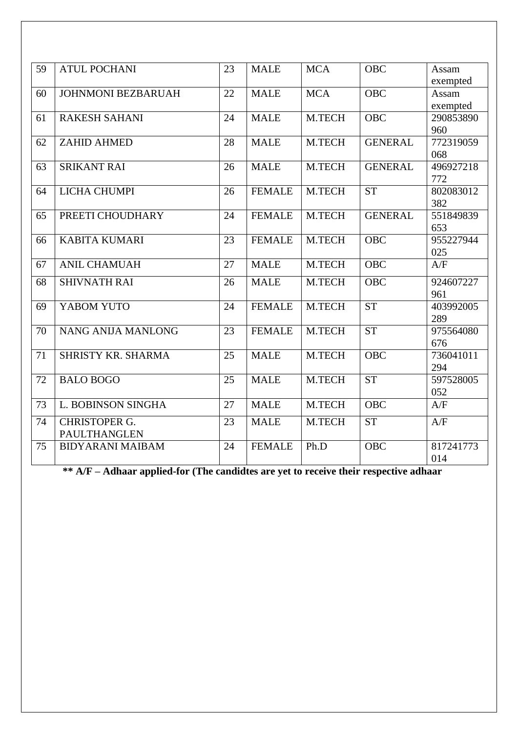| 59 | <b>ATUL POCHANI</b>       | 23 | <b>MALE</b>   | <b>MCA</b> | <b>OBC</b>     | Assam            |
|----|---------------------------|----|---------------|------------|----------------|------------------|
|    |                           |    |               |            |                | exempted         |
| 60 | <b>JOHNMONI BEZBARUAH</b> | 22 | <b>MALE</b>   | <b>MCA</b> | <b>OBC</b>     | Assam            |
|    |                           |    |               |            |                | exempted         |
| 61 | <b>RAKESH SAHANI</b>      | 24 | <b>MALE</b>   | M.TECH     | <b>OBC</b>     | 290853890        |
|    |                           |    |               |            |                | 960              |
| 62 | <b>ZAHID AHMED</b>        | 28 | <b>MALE</b>   | M.TECH     | <b>GENERAL</b> | 772319059        |
|    |                           |    |               |            |                | 068              |
| 63 | <b>SRIKANT RAI</b>        | 26 | <b>MALE</b>   | M.TECH     | <b>GENERAL</b> | 496927218        |
|    |                           |    |               |            | <b>ST</b>      | 772              |
| 64 | <b>LICHA CHUMPI</b>       | 26 | <b>FEMALE</b> | M.TECH     |                | 802083012<br>382 |
| 65 | PREETI CHOUDHARY          | 24 | <b>FEMALE</b> | M.TECH     | <b>GENERAL</b> | 551849839        |
|    |                           |    |               |            |                | 653              |
| 66 | <b>KABITA KUMARI</b>      | 23 | <b>FEMALE</b> | M.TECH     | <b>OBC</b>     | 955227944        |
|    |                           |    |               |            |                | 025              |
| 67 | <b>ANIL CHAMUAH</b>       | 27 | <b>MALE</b>   | M.TECH     | <b>OBC</b>     | A/F              |
| 68 | <b>SHIVNATH RAI</b>       | 26 | <b>MALE</b>   | M.TECH     | <b>OBC</b>     | 924607227        |
|    |                           |    |               |            |                | 961              |
| 69 | YABOM YUTO                | 24 | <b>FEMALE</b> | M.TECH     | <b>ST</b>      | 403992005        |
|    |                           |    |               |            |                | 289              |
| 70 | NANG ANIJA MANLONG        | 23 | <b>FEMALE</b> | M.TECH     | <b>ST</b>      | 975564080        |
|    |                           |    |               |            |                | 676              |
| 71 | SHRISTY KR. SHARMA        | 25 | <b>MALE</b>   | M.TECH     | <b>OBC</b>     | 736041011        |
|    |                           |    |               |            |                | 294              |
| 72 | <b>BALO BOGO</b>          | 25 | <b>MALE</b>   | M.TECH     | <b>ST</b>      | 597528005        |
|    |                           |    |               |            |                | 052              |
| 73 | L. BOBINSON SINGHA        | 27 | <b>MALE</b>   | M.TECH     | <b>OBC</b>     | A/F              |
| 74 | <b>CHRISTOPER G.</b>      | 23 | <b>MALE</b>   | M.TECH     | <b>ST</b>      | A/F              |
|    | PAULTHANGLEN              |    |               |            |                |                  |
| 75 | <b>BIDYARANI MAIBAM</b>   | 24 | <b>FEMALE</b> | Ph.D       | <b>OBC</b>     | 817241773        |
|    |                           |    |               |            |                | 014              |

**\*\* A/F – Adhaar applied-for (The candidtes are yet to receive their respective adhaar**